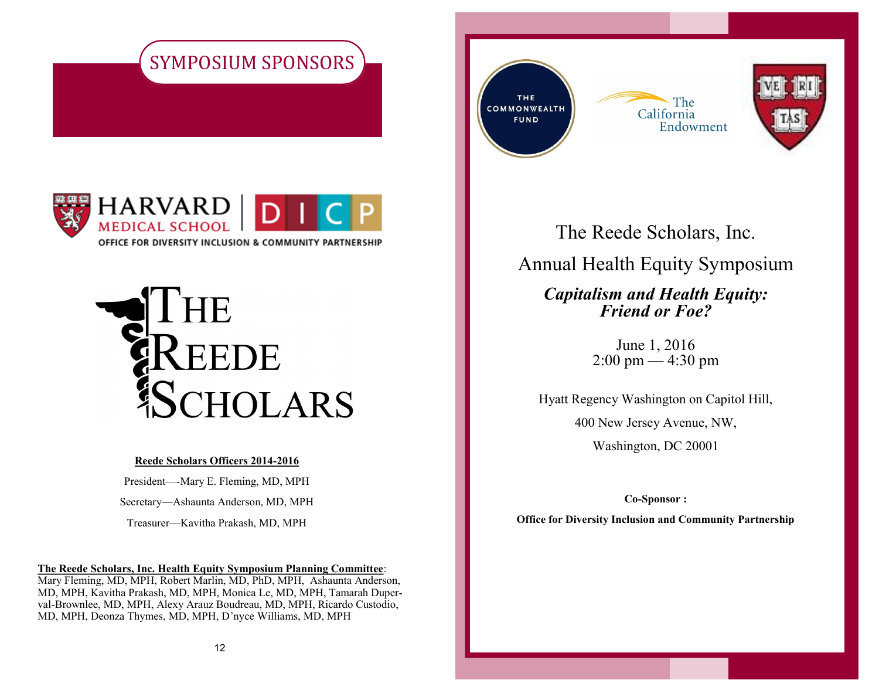





#### **Reede Scholars Officers 2014-2016**

President—-Mary E. Fleming, MD, MPH Secretary—Ashaunta Anderson, MD, MPH Treasurer—Kavitha Prakash, MD, MPH

**The Reede Scholars, Inc. Health Equity Symposium Planning Committee**:

Mary Fleming, MD, MPH, Robert Marlin, MD, PhD, MPH, Ashaunta Anderson, MD, MPH, Kavitha Prakash, MD, MPH, Monica Le, MD, MPH, Tamarah Duperval-Brownlee, MD, MPH, Alexy Arauz Boudreau, MD, MPH, Ricardo Custodio, MD, MPH, Deonza Thymes, MD, MPH, D'nyce Williams, MD, MPH

THE COMMONWEALTH **FUND** 





The Reede Scholars, Inc. Annual Health Equity Symposium *Capitalism and Health Equity: Friend or Foe?*

> June 1, 2016  $2:00 \text{ pm} - 4:30 \text{ pm}$

Hyatt Regency Washington on Capitol Hill,

400 New Jersey Avenue, NW,

Washington, DC 20001

**Co-Sponsor :**

**Office for Diversity Inclusion and Community Partnership**

1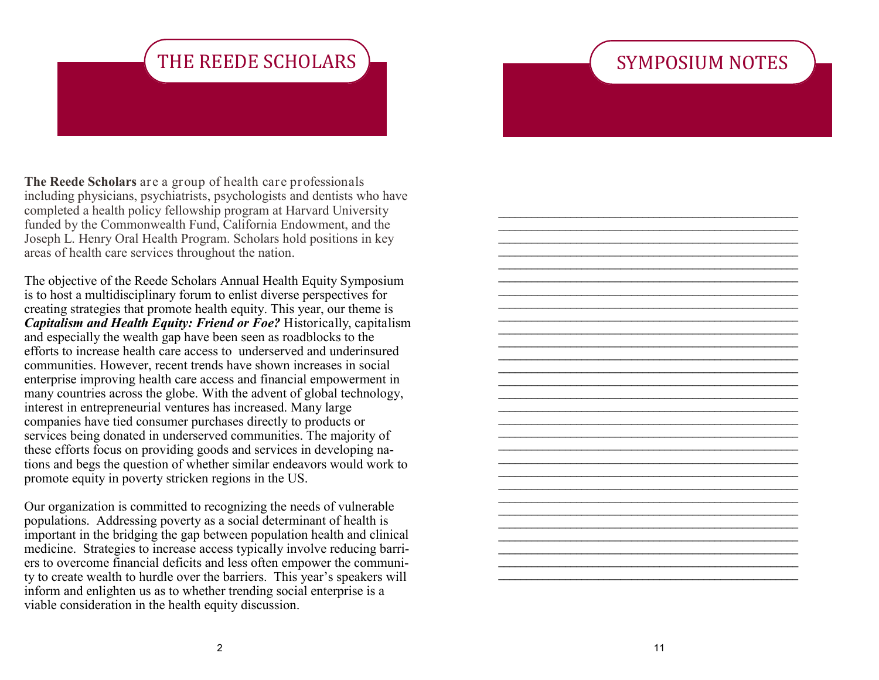## SYMPOSIUM NOTES

\_\_\_\_\_\_\_\_\_\_\_\_\_\_\_\_\_\_\_\_\_\_\_\_\_\_\_\_\_\_\_\_\_\_\_\_\_\_\_\_\_\_\_\_\_\_\_\_\_\_\_\_\_\_ \_\_\_\_\_\_\_\_\_\_\_\_\_\_\_\_\_\_\_\_\_\_\_\_\_\_\_\_\_\_\_\_\_\_\_\_\_\_\_\_\_\_\_\_\_\_\_\_\_\_\_\_\_\_ \_\_\_\_\_\_\_\_\_\_\_\_\_\_\_\_\_\_\_\_\_\_\_\_\_\_\_\_\_\_\_\_\_\_\_\_\_\_\_\_\_\_\_\_\_\_\_\_\_\_\_\_\_\_ \_\_\_\_\_\_\_\_\_\_\_\_\_\_\_\_\_\_\_\_\_\_\_\_\_\_\_\_\_\_\_\_\_\_\_\_\_\_\_\_\_\_\_\_\_\_\_\_\_\_\_\_\_\_ \_\_\_\_\_\_\_\_\_\_\_\_\_\_\_\_\_\_\_\_\_\_\_\_\_\_\_\_\_\_\_\_\_\_\_\_\_\_\_\_\_\_\_\_\_\_\_\_\_\_\_\_\_\_ \_\_\_\_\_\_\_\_\_\_\_\_\_\_\_\_\_\_\_\_\_\_\_\_\_\_\_\_\_\_\_\_\_\_\_\_\_\_\_\_\_\_\_\_\_\_\_\_\_\_\_\_\_\_ \_\_\_\_\_\_\_\_\_\_\_\_\_\_\_\_\_\_\_\_\_\_\_\_\_\_\_\_\_\_\_\_\_\_\_\_\_\_\_\_\_\_\_\_\_\_\_\_\_\_\_\_\_\_ \_\_\_\_\_\_\_\_\_\_\_\_\_\_\_\_\_\_\_\_\_\_\_\_\_\_\_\_\_\_\_\_\_\_\_\_\_\_\_\_\_\_\_\_\_\_\_\_\_\_\_\_\_\_ \_\_\_\_\_\_\_\_\_\_\_\_\_\_\_\_\_\_\_\_\_\_\_\_\_\_\_\_\_\_\_\_\_\_\_\_\_\_\_\_\_\_\_\_\_\_\_\_\_\_\_\_\_\_ \_\_\_\_\_\_\_\_\_\_\_\_\_\_\_\_\_\_\_\_\_\_\_\_\_\_\_\_\_\_\_\_\_\_\_\_\_\_\_\_\_\_\_\_\_\_\_\_\_\_\_\_\_\_ \_\_\_\_\_\_\_\_\_\_\_\_\_\_\_\_\_\_\_\_\_\_\_\_\_\_\_\_\_\_\_\_\_\_\_\_\_\_\_\_\_\_\_\_\_\_\_\_\_\_\_\_\_\_ \_\_\_\_\_\_\_\_\_\_\_\_\_\_\_\_\_\_\_\_\_\_\_\_\_\_\_\_\_\_\_\_\_\_\_\_\_\_\_\_\_\_\_\_\_\_\_\_\_\_\_\_\_\_ \_\_\_\_\_\_\_\_\_\_\_\_\_\_\_\_\_\_\_\_\_\_\_\_\_\_\_\_\_\_\_\_\_\_\_\_\_\_\_\_\_\_\_\_\_\_\_\_\_\_\_\_\_\_ \_\_\_\_\_\_\_\_\_\_\_\_\_\_\_\_\_\_\_\_\_\_\_\_\_\_\_\_\_\_\_\_\_\_\_\_\_\_\_\_\_\_\_\_\_\_\_\_\_\_\_\_\_\_ \_\_\_\_\_\_\_\_\_\_\_\_\_\_\_\_\_\_\_\_\_\_\_\_\_\_\_\_\_\_\_\_\_\_\_\_\_\_\_\_\_\_\_\_\_\_\_\_\_\_\_\_\_\_ \_\_\_\_\_\_\_\_\_\_\_\_\_\_\_\_\_\_\_\_\_\_\_\_\_\_\_\_\_\_\_\_\_\_\_\_\_\_\_\_\_\_\_\_\_\_\_\_\_\_\_\_\_\_ \_\_\_\_\_\_\_\_\_\_\_\_\_\_\_\_\_\_\_\_\_\_\_\_\_\_\_\_\_\_\_\_\_\_\_\_\_\_\_\_\_\_\_\_\_\_\_\_\_\_\_\_\_\_ \_\_\_\_\_\_\_\_\_\_\_\_\_\_\_\_\_\_\_\_\_\_\_\_\_\_\_\_\_\_\_\_\_\_\_\_\_\_\_\_\_\_\_\_\_\_\_\_\_\_\_\_\_\_ \_\_\_\_\_\_\_\_\_\_\_\_\_\_\_\_\_\_\_\_\_\_\_\_\_\_\_\_\_\_\_\_\_\_\_\_\_\_\_\_\_\_\_\_\_\_\_\_\_\_\_\_\_\_ \_\_\_\_\_\_\_\_\_\_\_\_\_\_\_\_\_\_\_\_\_\_\_\_\_\_\_\_\_\_\_\_\_\_\_\_\_\_\_\_\_\_\_\_\_\_\_\_\_\_\_\_\_\_ \_\_\_\_\_\_\_\_\_\_\_\_\_\_\_\_\_\_\_\_\_\_\_\_\_\_\_\_\_\_\_\_\_\_\_\_\_\_\_\_\_\_\_\_\_\_\_\_\_\_\_\_\_\_ \_\_\_\_\_\_\_\_\_\_\_\_\_\_\_\_\_\_\_\_\_\_\_\_\_\_\_\_\_\_\_\_\_\_\_\_\_\_\_\_\_\_\_\_\_\_\_\_\_\_\_\_\_\_ \_\_\_\_\_\_\_\_\_\_\_\_\_\_\_\_\_\_\_\_\_\_\_\_\_\_\_\_\_\_\_\_\_\_\_\_\_\_\_\_\_\_\_\_\_\_\_\_\_\_\_\_\_\_ \_\_\_\_\_\_\_\_\_\_\_\_\_\_\_\_\_\_\_\_\_\_\_\_\_\_\_\_\_\_\_\_\_\_\_\_\_\_\_\_\_\_\_\_\_\_\_\_\_\_\_\_\_\_ \_\_\_\_\_\_\_\_\_\_\_\_\_\_\_\_\_\_\_\_\_\_\_\_\_\_\_\_\_\_\_\_\_\_\_\_\_\_\_\_\_\_\_\_\_\_\_\_\_\_\_\_\_\_ \_\_\_\_\_\_\_\_\_\_\_\_\_\_\_\_\_\_\_\_\_\_\_\_\_\_\_\_\_\_\_\_\_\_\_\_\_\_\_\_\_\_\_\_\_\_\_\_\_\_\_\_\_\_ \_\_\_\_\_\_\_\_\_\_\_\_\_\_\_\_\_\_\_\_\_\_\_\_\_\_\_\_\_\_\_\_\_\_\_\_\_\_\_\_\_\_\_\_\_\_\_\_\_\_\_\_\_\_ \_\_\_\_\_\_\_\_\_\_\_\_\_\_\_\_\_\_\_\_\_\_\_\_\_\_\_\_\_\_\_\_\_\_\_\_\_\_\_\_\_\_\_\_\_\_\_\_\_\_\_\_\_\_ \_\_\_\_\_\_\_\_\_\_\_\_\_\_\_\_\_\_\_\_\_\_\_\_\_\_\_\_\_\_\_\_\_\_\_\_\_\_\_\_\_\_\_\_\_\_\_\_\_\_\_\_\_\_

# THE REEDE SCHOLARS

**The Reede Scholars** are a group of health care professionals including physicians, psychiatrists, psychologists and dentists who have completed a health policy fellowship program at Harvard University funded by the Commonwealth Fund, California Endowment, and the Joseph L. Henry Oral Health Program. Scholars hold positions in key areas of health care services throughout the nation.

The objective of the Reede Scholars Annual Health Equity Symposium is to host a multidisciplinary forum to enlist diverse perspectives for creating strategies that promote health equity. This year, our theme is *Capitalism and Health Equity: Friend or Foe?* Historically, capitalism and especially the wealth gap have been seen as roadblocks to the efforts to increase health care access to underserved and underinsured communities. However, recent trends have shown increases in social enterprise improving health care access and financial empowerment in many countries across the globe. With the advent of global technology, interest in entrepreneurial ventures has increased. Many large companies have tied consumer purchases directly to products or services being donated in underserved communities. The majority of these efforts focus on providing goods and services in developing nations and begs the question of whether similar endeavors would work to promote equity in poverty stricken regions in the US.

Our organization is committed to recognizing the needs of vulnerable populations. Addressing poverty as a social determinant of health is important in the bridging the gap between population health and clinical medicine. Strategies to increase access typically involve reducing barriers to overcome financial deficits and less often empower the community to create wealth to hurdle over the barriers. This year's speakers will inform and enlighten us as to whether trending social enterprise is a viable consideration in the health equity discussion.

2

11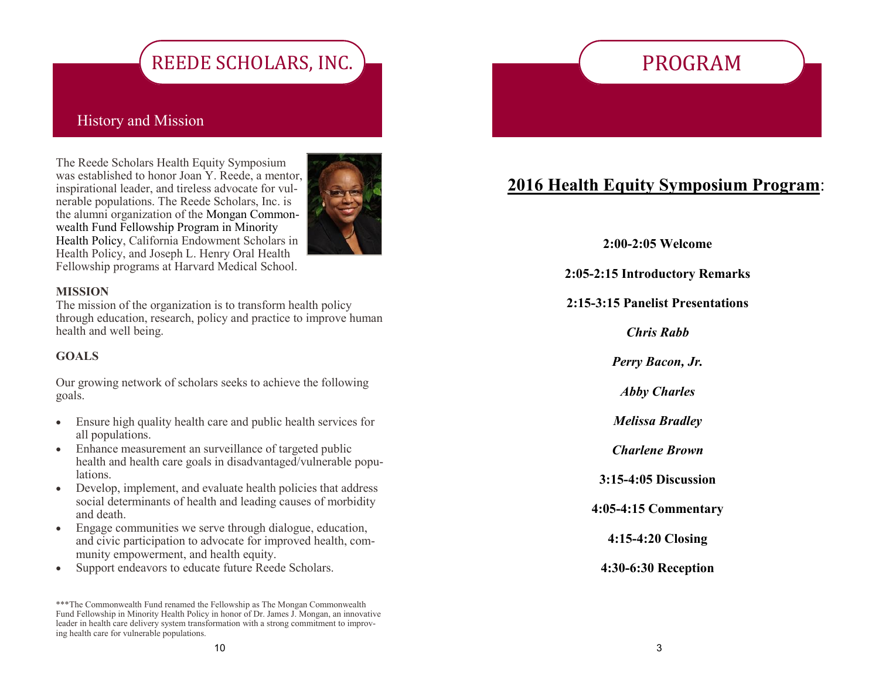# REEDE SCHOLARS, INC.

### History and Mission

The Reede Scholars Health Equity Symposium was established to honor Joan Y. Reede, a mentor, inspirational leader, and tireless advocate for vulnerable populations. The Reede Scholars, Inc. is the alumni organization of the Mongan Commonwealth Fund Fellowship Program in Minority Health Policy, California Endowment Scholars in Health Policy, and Joseph L. Henry Oral Health Fellowship programs at Harvard Medical School.



### **MISSION**

The mission of the organization is to transform health policy through education, research, policy and practice to improve human health and well being.

### **GOALS**

Our growing network of scholars seeks to achieve the following goals.

- Ensure high quality health care and public health services for all populations.
- Enhance measurement an surveillance of targeted public health and health care goals in disadvantaged/vulnerable populations.
- Develop, implement, and evaluate health policies that address social determinants of health and leading causes of morbidity and death.
- Engage communities we serve through dialogue, education, and civic participation to advocate for improved health, community empowerment, and health equity.
- Support endeavors to educate future Reede Scholars.

# PROGRAM

### **2016 Health Equity Symposium Program**:

**2:00-2:05 Welcome**

**2:05-2:15 Introductory Remarks**

**2:15-3:15 Panelist Presentations**

*Chris Rabb*

*Perry Bacon, Jr.*

*Abby Charles*

*Melissa Bradley*

*Charlene Brown*

**3:15-4:05 Discussion**

**4:05-4:15 Commentary**

**4:15-4:20 Closing**

**4:30-6:30 Reception**

<sup>\*\*\*</sup>The Commonwealth Fund renamed the Fellowship as The Mongan Commonwealth Fund Fellowship in Minority Health Policy in honor of Dr. James J. Mongan, an innovative leader in health care delivery system transformation with a strong commitment to improving health care for vulnerable populations.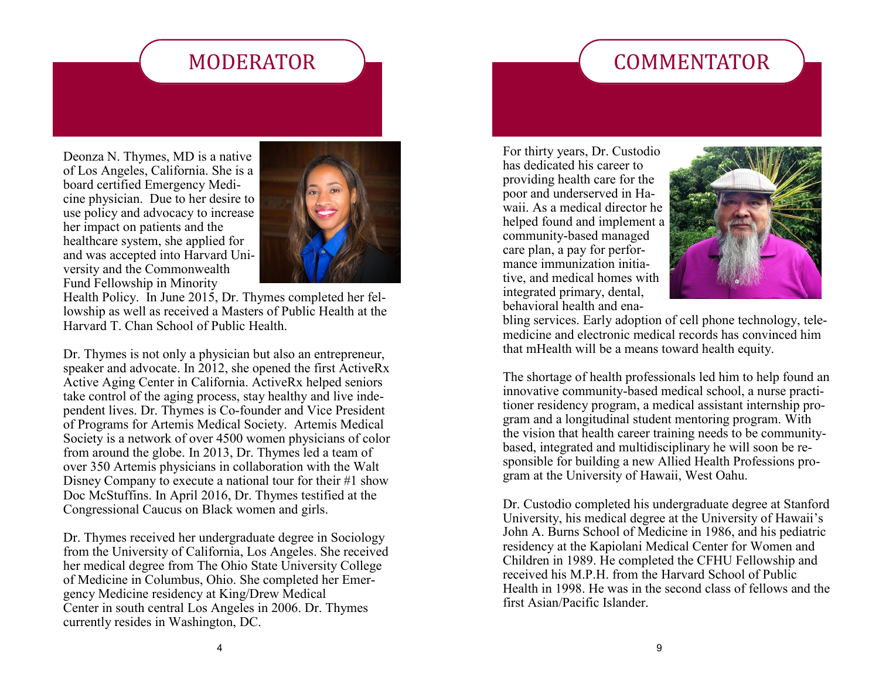## **COMMENTATOR**

## MODERATOR

Deonza N. Thymes, MD is a native of Los Angeles, California. She is a board certified Emergency Medicine physician. Due to her desire to use policy and advocacy to increase her impact on patients and the healthcare system, she applied for and was accepted into Harvard University and the Commonwealth Fund Fellowship in Minority



Health Policy. In June 2015, Dr. Thymes completed her fellowship as well as received a Masters of Public Health at the Harvard T. Chan School of Public Health.

Dr. Thymes is not only a physician but also an entrepreneur, speaker and advocate. In 2012, she opened the first ActiveRx Active Aging Center in California. ActiveRx helped seniors take control of the aging process, stay healthy and live independent lives. Dr. Thymes is Co-founder and Vice President of Programs for Artemis Medical Society. Artemis Medical Society is a network of over 4500 women physicians of color from around the globe. In 2013, Dr. Thymes led a team of over 350 Artemis physicians in collaboration with the Walt Disney Company to execute a national tour for their #1 show Doc McStuffins. In April 2016, Dr. Thymes testified at the Congressional Caucus on Black women and girls.

Dr. Thymes received her undergraduate degree in Sociology from the University of California, Los Angeles. She received her medical degree from The Ohio State University College of Medicine in Columbus, Ohio. She completed her Emergency Medicine residency at King/Drew Medical Center in south central Los Angeles in 2006. Dr. Thymes currently resides in Washington, DC.

For thirty years, Dr. Custodio has dedicated his career to providing health care for the poor and underserved in Hawaii. As a medical director he helped found and implement a community-based managed care plan, a pay for performance immunization initiative, and medical homes with integrated primary, dental, behavioral health and ena-



bling services. Early adoption of cell phone technology, telemedicine and electronic medical records has convinced him that mHealth will be a means toward health equity.

The shortage of health professionals led him to help found an innovative community-based medical school, a nurse practitioner residency program, a medical assistant internship program and a longitudinal student mentoring program. With the vision that health career training needs to be communitybased, integrated and multidisciplinary he will soon be responsible for building a new Allied Health Professions program at the University of Hawaii, West Oahu.

Dr. Custodio completed his undergraduate degree at Stanford University, his medical degree at the University of Hawaii's John A. Burns School of Medicine in 1986, and his pediatric residency at the Kapiolani Medical Center for Women and Children in 1989. He completed the CFHU Fellowship and received his M.P.H. from the Harvard School of Public Health in 1998. He was in the second class of fellows and the first Asian/Pacific Islander.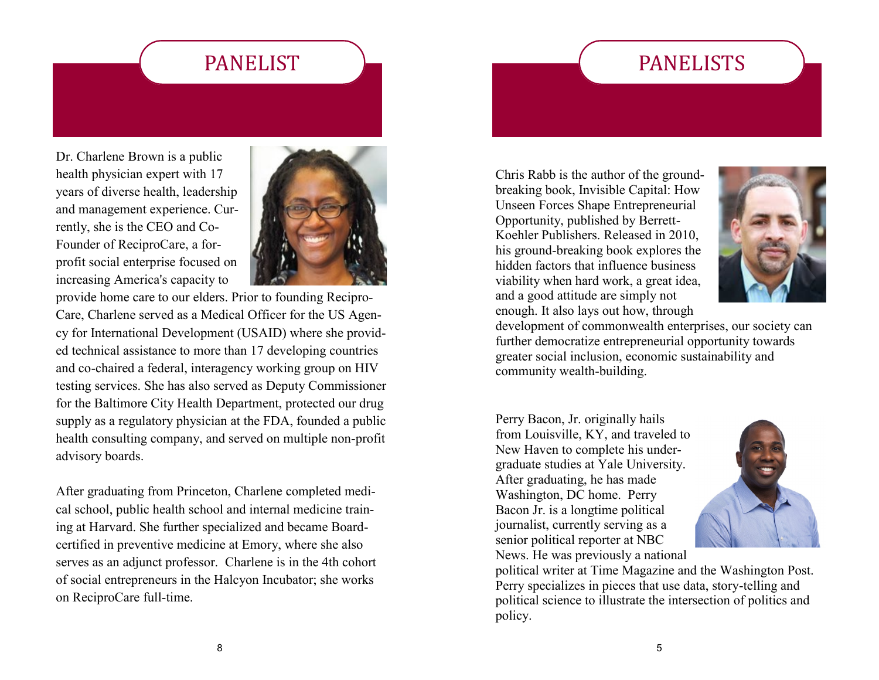# PANELISTS

### PANELIST

Dr. Charlene Brown is a public health physician expert with 17 years of diverse health, leadership and management experience. Currently, she is the CEO and Co-Founder of ReciproCare, a forprofit social enterprise focused on increasing America's capacity to



provide home care to our elders. Prior to founding Recipro-Care, Charlene served as a Medical Officer for the US Agency for International Development (USAID) where she provided technical assistance to more than 17 developing countries and co-chaired a federal, interagency working group on HIV testing services. She has also served as Deputy Commissioner for the Baltimore City Health Department, protected our drug supply as a regulatory physician at the FDA, founded a public health consulting company, and served on multiple non-profit advisory boards.

After graduating from Princeton, Charlene completed medical school, public health school and internal medicine training at Harvard. She further specialized and became Boardcertified in preventive medicine at Emory, where she also serves as an adjunct professor. Charlene is in the 4th cohort of social entrepreneurs in the Halcyon Incubator; she works on ReciproCare full-time.

Chris Rabb is the author of the groundbreaking book, Invisible Capital: How Unseen Forces Shape Entrepreneurial Opportunity, published by Berrett-Koehler Publishers. Released in 2010, his ground-breaking book explores the hidden factors that influence business viability when hard work, a great idea, and a good attitude are simply not enough. It also lays out how, through



development of commonwealth enterprises, our society can further democratize entrepreneurial opportunity towards greater social inclusion, economic sustainability and community wealth-building.

Perry Bacon, Jr. originally hails from Louisville, KY, and traveled to New Haven to complete his undergraduate studies at Yale University. After graduating, he has made Washington, DC home. Perry Bacon Jr. is a longtime political journalist, currently serving as a senior political reporter at NBC News. He was previously a national



political writer at Time Magazine and the Washington Post. Perry specializes in pieces that use data, story-telling and political science to illustrate the intersection of politics and policy.